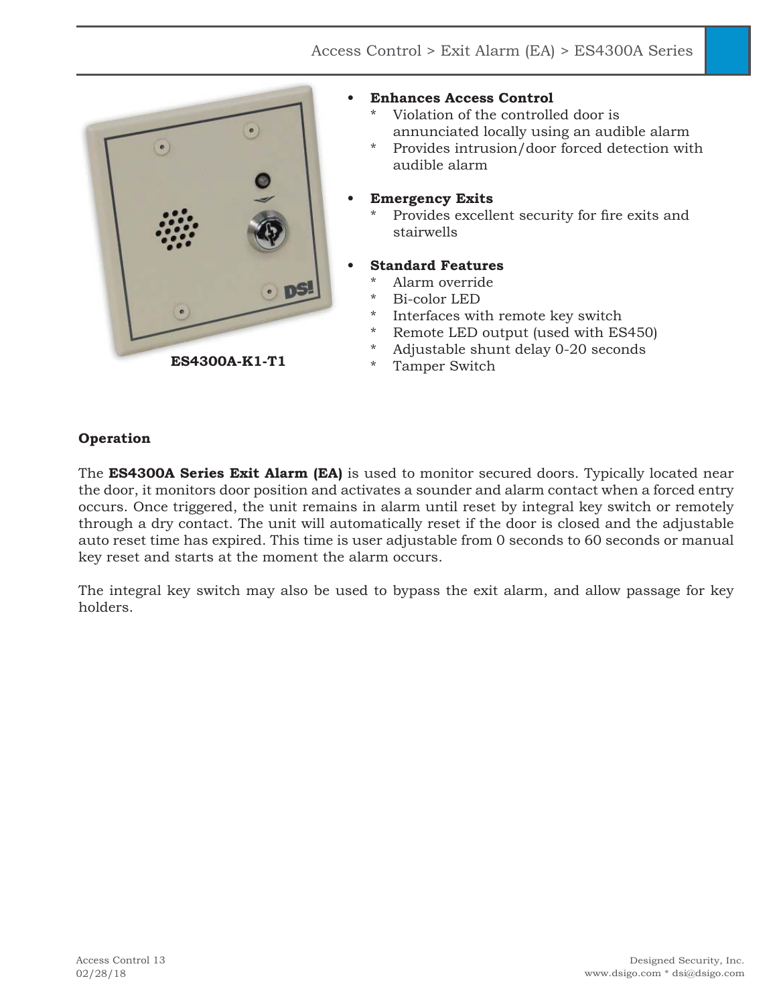

### **• Enhances Access Control**

- Violation of the controlled door is annunciated locally using an audible alarm
- Provides intrusion/door forced detection with audible alarm

### **• Emergency Exits**

Provides excellent security for fire exits and stairwells

## **• Standard Features**

- Alarm override
- \* Bi-color LED
- \* Interfaces with remote key switch
- \* Remote LED output (used with ES450)
- \* Adjustable shunt delay 0-20 seconds
- Tamper Switch

### **Operation**

The **ES4300A Series Exit Alarm (EA)** is used to monitor secured doors. Typically located near the door, it monitors door position and activates a sounder and alarm contact when a forced entry occurs. Once triggered, the unit remains in alarm until reset by integral key switch or remotely through a dry contact. The unit will automatically reset if the door is closed and the adjustable auto reset time has expired. This time is user adjustable from 0 seconds to 60 seconds or manual key reset and starts at the moment the alarm occurs.

The integral key switch may also be used to bypass the exit alarm, and allow passage for key holders.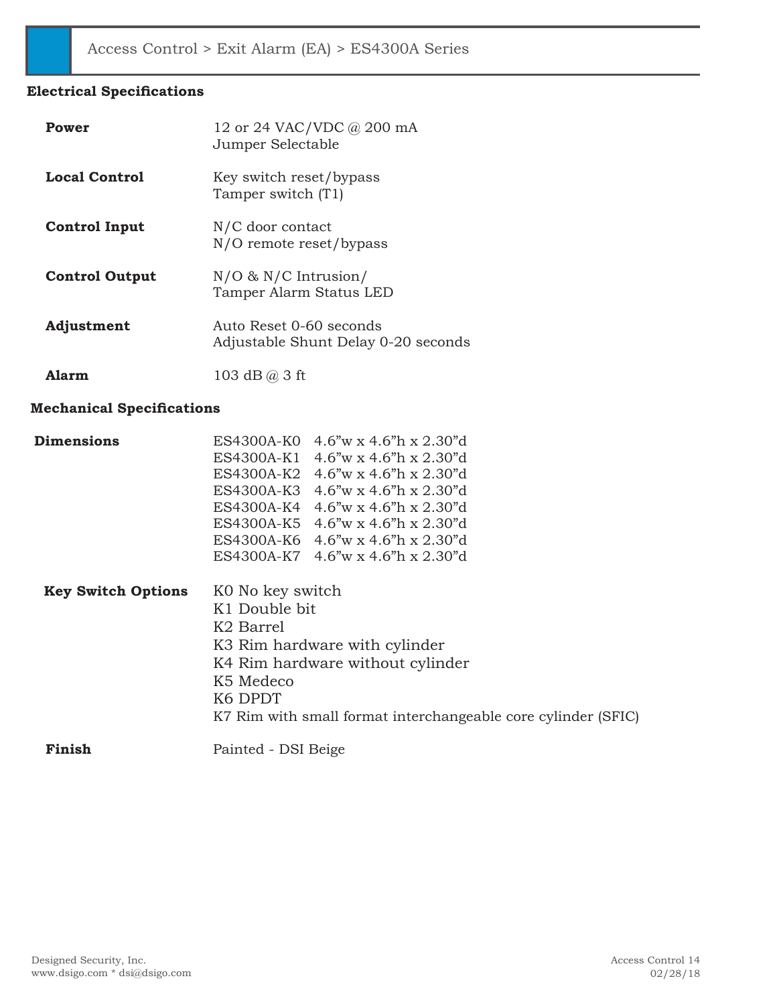### **Electrical Specifications**

| Power                 | 12 or 24 VAC/VDC @ 200 mA<br>Jumper Selectable                 |
|-----------------------|----------------------------------------------------------------|
| Local Control         | Key switch reset/bypass<br>Tamper switch (T1)                  |
| <b>Control Input</b>  | N/C door contact<br>N/O remote reset/bypass                    |
| <b>Control Output</b> | $N/O$ & $N/C$ Intrusion/<br>Tamper Alarm Status LED            |
| Adjustment            | Auto Reset 0-60 seconds<br>Adjustable Shunt Delay 0-20 seconds |
| <b>Alarm</b>          | 103 dB $@$ 3 ft                                                |

# **Mechanical Specifications**

| <b>Dimensions</b>         |                       | ES4300A-K0 4.6"w x 4.6"h x 2.30"d                             |
|---------------------------|-----------------------|---------------------------------------------------------------|
|                           |                       | ES4300A-K1 4.6"w x 4.6"h x 2.30"d                             |
|                           |                       | ES4300A-K2 4.6"w x 4.6"h x 2.30"d                             |
|                           |                       | ES4300A-K3 4.6"w x 4.6"h x 2.30"d                             |
|                           |                       | ES4300A-K4 4.6"w x 4.6"h x 2.30"d                             |
|                           |                       | ES4300A-K5 4.6"w x 4.6"h x 2.30"d                             |
|                           |                       | ES4300A-K6 4.6"w x 4.6"h x 2.30"d                             |
|                           |                       | ES4300A-K7 4.6"w x 4.6"h x 2.30"d                             |
| <b>Key Switch Options</b> | KO No key switch      |                                                               |
|                           | K1 Double bit         |                                                               |
|                           | K <sub>2</sub> Barrel |                                                               |
|                           |                       | K3 Rim hardware with cylinder                                 |
|                           |                       | K4 Rim hardware without cylinder                              |
|                           | K5 Medeco             |                                                               |
|                           | K <sub>6</sub> DPDT   |                                                               |
|                           |                       | K7 Rim with small format interchangeable core cylinder (SFIC) |
| Finish                    | Painted - DSI Beige   |                                                               |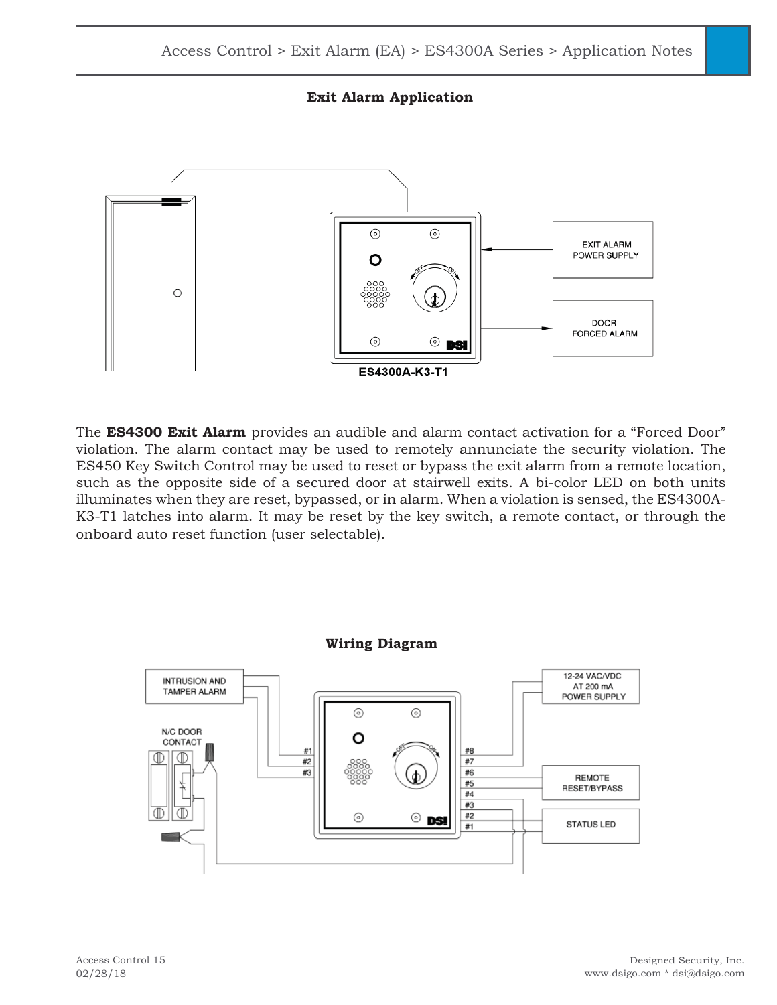



The **ES4300 Exit Alarm** provides an audible and alarm contact activation for a "Forced Door" violation. The alarm contact may be used to remotely annunciate the security violation. The ES450 Key Switch Control may be used to reset or bypass the exit alarm from a remote location, such as the opposite side of a secured door at stairwell exits. A bi-color LED on both units illuminates when they are reset, bypassed, or in alarm. When a violation is sensed, the ES4300A-K3-T1 latches into alarm. It may be reset by the key switch, a remote contact, or through the onboard auto reset function (user selectable).